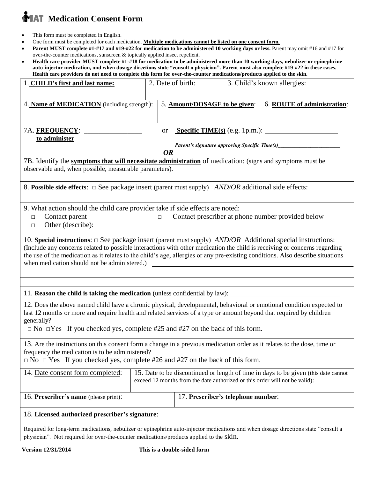# **MAT** Medication Consent Form

- This form must be completed in English.
- One form must be completed for each medication. **Multiple medications cannot be listed on one consent form.**
- **Parent MUST complete #1-#17 and #19-#22 for medication to be administered 10 working days or less.** Parent may omit #16 and #17 for over-the-counter medications, sunscreen & topically applied insect repellent.
- **Health care provider MUST complete #1-#18 for medication to be administered more than 10 working days, nebulizer or epinephrine auto-injector medication, and when dosage directions state "consult a physician". Parent must also complete #19-#22 in these cases. Health care providers do not need to complete this form for over-the-counter medications/products applied to the skin.**

| 1. CHILD's first and last name:                                                                                                                                                                                                                      | 2. Date of birth: |                                    |  | 3. Child's known allergies: |  |
|------------------------------------------------------------------------------------------------------------------------------------------------------------------------------------------------------------------------------------------------------|-------------------|------------------------------------|--|-----------------------------|--|
|                                                                                                                                                                                                                                                      |                   |                                    |  |                             |  |
| 4. Name of MEDICATION (including strength):                                                                                                                                                                                                          |                   | 5. Amount/DOSAGE to be given:      |  | 6. ROUTE of administration: |  |
|                                                                                                                                                                                                                                                      |                   |                                    |  |                             |  |
| <b>Specific TIME(s)</b> (e.g. 1p.m.): $\qquad \qquad$<br>7A. <u>FREQUENCY</u> : ____________<br><b>or</b>                                                                                                                                            |                   |                                    |  |                             |  |
| to administer                                                                                                                                                                                                                                        |                   |                                    |  |                             |  |
|                                                                                                                                                                                                                                                      |                   |                                    |  |                             |  |
| <b>OR</b>                                                                                                                                                                                                                                            |                   |                                    |  |                             |  |
| 7B. Identify the symptoms that will necessitate administration of medication: (signs and symptoms must be<br>observable and, when possible, measurable parameters).                                                                                  |                   |                                    |  |                             |  |
|                                                                                                                                                                                                                                                      |                   |                                    |  |                             |  |
| 8. Possible side effects: $\Box$ See package insert (parent must supply) <i>AND/OR</i> additional side effects:                                                                                                                                      |                   |                                    |  |                             |  |
|                                                                                                                                                                                                                                                      |                   |                                    |  |                             |  |
| 9. What action should the child care provider take if side effects are noted:                                                                                                                                                                        |                   |                                    |  |                             |  |
| Contact parent<br>$\Box$                                                                                                                                                                                                                             | $\Box$            |                                    |  |                             |  |
| Contact prescriber at phone number provided below<br>Other (describe):<br>$\Box$                                                                                                                                                                     |                   |                                    |  |                             |  |
|                                                                                                                                                                                                                                                      |                   |                                    |  |                             |  |
| 10. Special instructions: $\Box$ See package insert (parent must supply) <i>AND/OR</i> Additional special instructions:<br>(Include any concerns related to possible interactions with other medication the child is receiving or concerns regarding |                   |                                    |  |                             |  |
|                                                                                                                                                                                                                                                      |                   |                                    |  |                             |  |
| the use of the medication as it relates to the child's age, allergies or any pre-existing conditions. Also describe situations<br>when medication should not be administered.)<br><u> 1980 - John Stein, Amerikaansk politiker (</u>                 |                   |                                    |  |                             |  |
|                                                                                                                                                                                                                                                      |                   |                                    |  |                             |  |
|                                                                                                                                                                                                                                                      |                   |                                    |  |                             |  |
|                                                                                                                                                                                                                                                      |                   |                                    |  |                             |  |
| 12. Does the above named child have a chronic physical, developmental, behavioral or emotional condition expected to                                                                                                                                 |                   |                                    |  |                             |  |
| last 12 months or more and require health and related services of a type or amount beyond that required by children                                                                                                                                  |                   |                                    |  |                             |  |
| generally?                                                                                                                                                                                                                                           |                   |                                    |  |                             |  |
| $\Box$ No $\Box$ Yes If you checked yes, complete #25 and #27 on the back of this form.                                                                                                                                                              |                   |                                    |  |                             |  |
| 13. Are the instructions on this consent form a change in a previous medication order as it relates to the dose, time or                                                                                                                             |                   |                                    |  |                             |  |
| frequency the medication is to be administered?                                                                                                                                                                                                      |                   |                                    |  |                             |  |
| $\Box$ No $\Box$ Yes If you checked yes, complete #26 and #27 on the back of this form.                                                                                                                                                              |                   |                                    |  |                             |  |
| 14. Date consent form completed:<br>15. Date to be discontinued or length of time in days to be given (this date cannot                                                                                                                              |                   |                                    |  |                             |  |
| exceed 12 months from the date authorized or this order will not be valid):                                                                                                                                                                          |                   |                                    |  |                             |  |
|                                                                                                                                                                                                                                                      |                   |                                    |  |                             |  |
| 16. Prescriber's name (please print):                                                                                                                                                                                                                |                   | 17. Prescriber's telephone number: |  |                             |  |
| 18. Licensed authorized prescriber's signature:                                                                                                                                                                                                      |                   |                                    |  |                             |  |
|                                                                                                                                                                                                                                                      |                   |                                    |  |                             |  |
| Required for long-term medications, nebulizer or epinephrine auto-injector medications and when dosage directions state "consult a                                                                                                                   |                   |                                    |  |                             |  |
| physician". Not required for over-the-counter medications/products applied to the skin.                                                                                                                                                              |                   |                                    |  |                             |  |